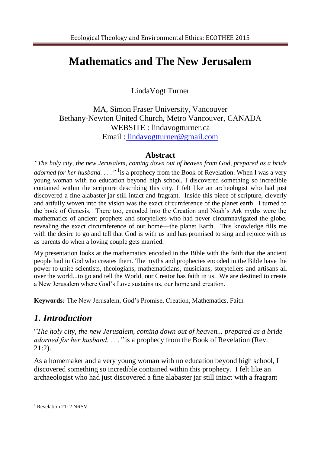# **Mathematics and The New Jerusalem**

LindaVogt Turner

MA, Simon Fraser University, Vancouver Bethany-Newton United Church, Metro Vancouver, CANADA WEBSITE : lindavogtturner.ca Email : lindavogtturner@gmail.com

#### **Abstract**

*"The holy city, the new Jerusalem, coming down out of heaven from God, prepared as a bride adorned for her husband. . . ."*<sup>1</sup> is a prophecy from the Book of Revelation. When I was a very young woman with no education beyond high school, I discovered something so incredible contained within the scripture describing this city. I felt like an archeologist who had just discovered a fine alabaster jar still intact and fragrant. Inside this piece of scripture, cleverly and artfully woven into the vision was the exact circumference of the planet earth. I turned to the book of Genesis. There too, encoded into the Creation and Noah's Ark myths were the mathematics of ancient prophets and storytellers who had never circumnavigated the globe, revealing the exact circumference of our home—the planet Earth. This knowledge fills me with the desire to go and tell that God is with us and has promised to sing and rejoice with us as parents do when a loving couple gets married.

My presentation looks at the mathematics encoded in the Bible with the faith that the ancient people had in God who creates them. The myths and prophecies encoded in the Bible have the power to unite scientists, theologians, mathematicians, musicians, storytellers and artisans all over the world...to go and tell the World, our Creator has faith in us. We are destined to create a New Jerusalem where God's Love sustains us, our home and creation.

**Keywords***:* The New Jerusalem, God's Promise, Creation, Mathematics, Faith

## *1. Introduction*

"*The holy city, the new Jerusalem, coming down out of heaven... prepared as a bride adorned for her husband. . . ."* is a prophecy from the Book of Revelation (Rev. 21:2).

As a homemaker and a very young woman with no education beyond high school, I discovered something so incredible contained within this prophecy. I felt like an archaeologist who had just discovered a fine alabaster jar still intact with a fragrant

 $\overline{a}$ 

<sup>&</sup>lt;sup>1</sup> Revelation 21: 2 NRSV.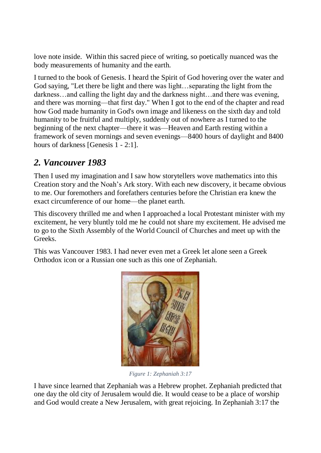love note inside. Within this sacred piece of writing, so poetically nuanced was the body measurements of humanity and the earth.

I turned to the book of Genesis. I heard the Spirit of God hovering over the water and God saying, "Let there be light and there was light…separating the light from the darkness…and calling the light day and the darkness night…and there was evening, and there was morning—that first day." When I got to the end of the chapter and read how God made humanity in God's own image and likeness on the sixth day and told humanity to be fruitful and multiply, suddenly out of nowhere as I turned to the beginning of the next chapter—there it was—Heaven and Earth resting within a framework of seven mornings and seven evenings—8400 hours of daylight and 8400 hours of darkness [Genesis 1 - 2:1].

## *2. Vancouver 1983*

Then I used my imagination and I saw how storytellers wove mathematics into this Creation story and the Noah's Ark story. With each new discovery, it became obvious to me. Our foremothers and forefathers centuries before the Christian era knew the exact circumference of our home—the planet earth.

This discovery thrilled me and when I approached a local Protestant minister with my excitement, he very bluntly told me he could not share my excitement. He advised me to go to the Sixth Assembly of the World Council of Churches and meet up with the Greeks.

This was Vancouver 1983. I had never even met a Greek let alone seen a Greek Orthodox icon or a Russian one such as this one of Zephaniah.



*Figure 1: Zephaniah 3:17*

I have since learned that Zephaniah was a Hebrew prophet. Zephaniah predicted that one day the old city of Jerusalem would die. It would cease to be a place of worship and God would create a New Jerusalem, with great rejoicing. In Zephaniah 3:17 the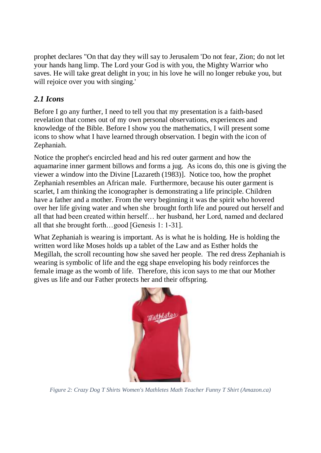prophet declares "On that day they will say to Jerusalem 'Do not fear, Zion; do not let your hands hang limp. The Lord your God is with you, the Mighty Warrior who saves. He will take great delight in you; in his love he will no longer rebuke you, but will rejoice over you with singing.'

## *2.1 Icons*

Before I go any further, I need to tell you that my presentation is a faith-based revelation that comes out of my own personal observations, experiences and knowledge of the Bible. Before I show you the mathematics, I will present some icons to show what I have learned through observation. I begin with the icon of Zephaniah.

Notice the prophet's encircled head and his red outer garment and how the aquamarine inner garment billows and forms a jug. As icons do, this one is giving the viewer a window into the Divine [Lazareth (1983)]. Notice too, how the prophet Zephaniah resembles an African male. Furthermore, because his outer garment is scarlet, I am thinking the iconographer is demonstrating a life principle. Children have a father and a mother. From the very beginning it was the spirit who hovered over her life giving water and when she brought forth life and poured out herself and all that had been created within herself… her husband, her Lord, named and declared all that she brought forth…good [Genesis 1: 1-31].

What Zephaniah is wearing is important. As is what he is holding. He is holding the written word like Moses holds up a tablet of the Law and as Esther holds the Megillah, the scroll recounting how she saved her people. The red dress Zephaniah is wearing is symbolic of life and the egg shape enveloping his body reinforces the female image as the womb of life. Therefore, this icon says to me that our Mother gives us life and our Father protects her and their offspring.



*Figure 2: Crazy Dog T Shirts Women's Mathletes Math Teacher Funny T Shirt (Amazon.ca)*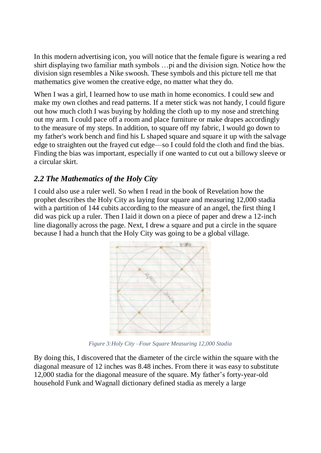In this modern advertising icon, you will notice that the female figure is wearing a red shirt displaying two familiar math symbols …pi and the division sign. Notice how the division sign resembles a Nike swoosh. These symbols and this picture tell me that mathematics give women the creative edge, no matter what they do.

When I was a girl, I learned how to use math in home economics. I could sew and make my own clothes and read patterns. If a meter stick was not handy, I could figure out how much cloth I was buying by holding the cloth up to my nose and stretching out my arm. I could pace off a room and place furniture or make drapes accordingly to the measure of my steps. In addition, to square off my fabric, I would go down to my father's work bench and find his L shaped square and square it up with the salvage edge to straighten out the frayed cut edge—so I could fold the cloth and find the bias. Finding the bias was important, especially if one wanted to cut out a billowy sleeve or a circular skirt.

### *2.2 The Mathematics of the Holy City*

I could also use a ruler well. So when I read in the book of Revelation how the prophet describes the Holy City as laying four square and measuring 12,000 stadia with a partition of 144 cubits according to the measure of an angel, the first thing I did was pick up a ruler. Then I laid it down on a piece of paper and drew a 12-inch line diagonally across the page. Next, I drew a square and put a circle in the square because I had a hunch that the Holy City was going to be a global village.



*Figure 3:Holy City –Four Square Measuring 12,000 Stadia*

By doing this, I discovered that the diameter of the circle within the square with the diagonal measure of 12 inches was 8.48 inches. From there it was easy to substitute 12,000 stadia for the diagonal measure of the square. My father's forty-year-old household Funk and Wagnall dictionary defined stadia as merely a large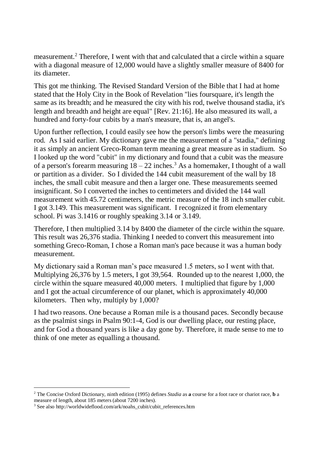measurement.<sup>2</sup> Therefore, I went with that and calculated that a circle within a square with a diagonal measure of 12,000 would have a slightly smaller measure of 8400 for its diameter.

This got me thinking. The Revised Standard Version of the Bible that I had at home stated that the Holy City in the Book of Revelation "lies foursquare, it's length the same as its breadth; and he measured the city with his rod, twelve thousand stadia, it's length and breadth and height are equal" [Rev. 21:16]. He also measured its wall, a hundred and forty-four cubits by a man's measure, that is, an angel's.

Upon further reflection, I could easily see how the person's limbs were the measuring rod. As I said earlier. My dictionary gave me the measurement of a "stadia," defining it as simply an ancient Greco-Roman term meaning a great measure as in stadium. So I looked up the word "cubit" in my dictionary and found that a cubit was the measure of a person's forearm measuring  $18 - 22$  inches.<sup>3</sup> As a homemaker, I thought of a wall or partition as a divider. So I divided the 144 cubit measurement of the wall by 18 inches, the small cubit measure and then a larger one. These measurements seemed insignificant. So I converted the inches to centimeters and divided the 144 wall measurement with 45.72 centimeters, the metric measure of the 18 inch smaller cubit. I got 3.149. This measurement was significant. I recognized it from elementary school. Pi was 3.1416 or roughly speaking 3.14 or 3.149.

Therefore, I then multiplied 3.14 by 8400 the diameter of the circle within the square. This result was 26,376 stadia. Thinking I needed to convert this measurement into something Greco-Roman, I chose a Roman man's pace because it was a human body measurement.

My dictionary said a Roman man's pace measured 1.5 meters, so I went with that. Multiplying 26,376 by 1.5 meters,  $\vec{l}$  got 39,564. Rounded up to the nearest 1,000, the circle within the square measured 40,000 meters. I multiplied that figure by 1,000 and I got the actual circumference of our planet, which is approximately 40,000 kilometers. Then why, multiply by 1,000?

I had two reasons. One because a Roman mile is a thousand paces. Secondly because as the psalmist sings in Psalm 90:1-4, God is our dwelling place, our resting place, and for God a thousand years is like a day gone by. Therefore, it made sense to me to think of one meter as equalling a thousand.

 $\overline{a}$ 

<sup>2</sup> The Concise Oxford Dictionary, ninth edition (1995) defines *Stadia* as **a** course for a foot race or chariot race, **b** a measure of length, about 185 meters (about 7200 inches).

<sup>&</sup>lt;sup>3</sup> See also http://worldwideflood.com/ark/noahs\_cubit/cubit\_references.htm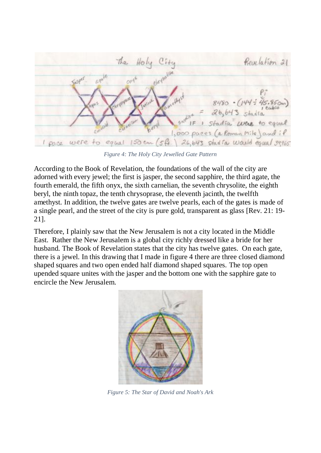

*Figure 4: The Holy City Jewelled Gate Pattern*

According to the Book of Revelation, the foundations of the wall of the city are adorned with every jewel; the first is jasper, the second sapphire, the third agate, the fourth emerald, the fifth onyx, the sixth carnelian, the seventh chrysolite, the eighth beryl, the ninth topaz, the tenth chrysoprase, the eleventh jacinth, the twelfth amethyst. In addition, the twelve gates are twelve pearls, each of the gates is made of a single pearl, and the street of the city is pure gold, transparent as glass [Rev. 21: 19- 21].

Therefore, I plainly saw that the New Jerusalem is not a city located in the Middle East. Rather the New Jerusalem is a global city richly dressed like a bride for her husband. The Book of Revelation states that the city has twelve gates. On each gate, there is a jewel. In this drawing that I made in figure 4 there are three closed diamond shaped squares and two open ended half diamond shaped squares. The top open upended square unites with the jasper and the bottom one with the sapphire gate to encircle the New Jerusalem.



*Figure 5: The Star of David and Noah's Ark*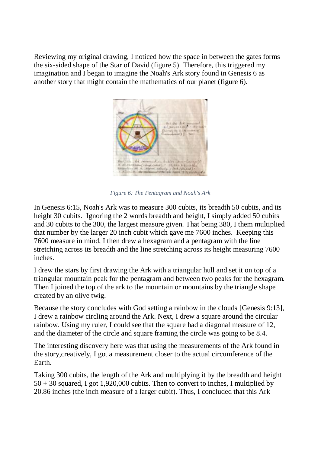Reviewing my original drawing, I noticed how the space in between the gates forms the six-sided shape of the Star of David (figure 5). Therefore, this triggered my imagination and I began to imagine the Noah's Ark story found in Genesis 6 as another story that might contain the mathematics of our planet (figure 6).



*Figure 6: The Pentagram and Noah's Ark*

In Genesis 6:15, Noah's Ark was to measure 300 cubits, its breadth 50 cubits, and its height 30 cubits. Ignoring the 2 words breadth and height, I simply added 50 cubits and 30 cubits to the 300, the largest measure given. That being 380, I them multiplied that number by the larger 20 inch cubit which gave me 7600 inches. Keeping this 7600 measure in mind, I then drew a hexagram and a pentagram with the line stretching across its breadth and the line stretching across its height measuring 7600 inches.

I drew the stars by first drawing the Ark with a triangular hull and set it on top of a triangular mountain peak for the pentagram and between two peaks for the hexagram. Then I joined the top of the ark to the mountain or mountains by the triangle shape created by an olive twig.

Because the story concludes with God setting a rainbow in the clouds [Genesis 9:13], I drew a rainbow circling around the Ark. Next, I drew a square around the circular rainbow. Using my ruler, I could see that the square had a diagonal measure of 12, and the diameter of the circle and square framing the circle was going to be 8.4.

The interesting discovery here was that using the measurements of the Ark found in the story,creatively, I got a measurement closer to the actual circumference of the Earth.

Taking 300 cubits, the length of the Ark and multiplying it by the breadth and height  $50 + 30$  squared, I got 1,920,000 cubits. Then to convert to inches, I multiplied by 20.86 inches (the inch measure of a larger cubit). Thus, I concluded that this Ark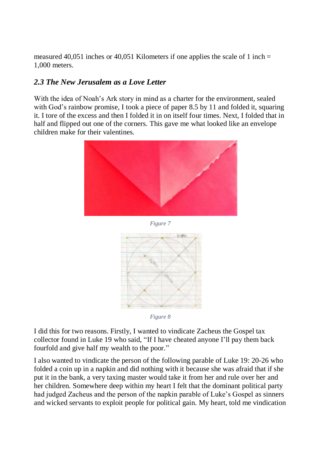measured 40,051 inches or 40,051 Kilometers if one applies the scale of 1 inch  $=$ 1,000 meters.

#### *2.3 The New Jerusalem as a Love Letter*

With the idea of Noah's Ark story in mind as a charter for the environment, sealed with God's rainbow promise, I took a piece of paper 8.5 by 11 and folded it, squaring it. I tore of the excess and then I folded it in on itself four times. Next, I folded that in half and flipped out one of the corners. This gave me what looked like an envelope children make for their valentines.







*Figure 8*

I did this for two reasons. Firstly, I wanted to vindicate Zacheus the Gospel tax collector found in Luke 19 who said, "If I have cheated anyone I'll pay them back fourfold and give half my wealth to the poor."

I also wanted to vindicate the person of the following parable of Luke 19: 20-26 who folded a coin up in a napkin and did nothing with it because she was afraid that if she put it in the bank, a very taxing master would take it from her and rule over her and her children. Somewhere deep within my heart I felt that the dominant political party had judged Zacheus and the person of the napkin parable of Luke's Gospel as sinners and wicked servants to exploit people for political gain. My heart, told me vindication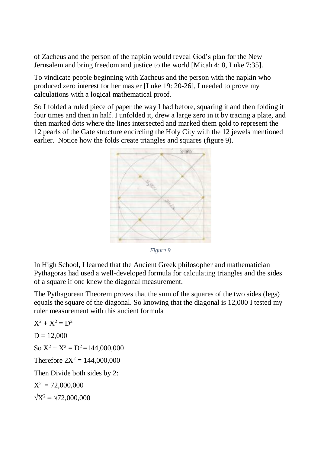of Zacheus and the person of the napkin would reveal God's plan for the New Jerusalem and bring freedom and justice to the world [Micah 4: 8, Luke 7:35].

To vindicate people beginning with Zacheus and the person with the napkin who produced zero interest for her master [Luke 19: 20-26], I needed to prove my calculations with a logical mathematical proof.

So I folded a ruled piece of paper the way I had before, squaring it and then folding it four times and then in half. I unfolded it, drew a large zero in it by tracing a plate, and then marked dots where the lines intersected and marked them gold to represent the 12 pearls of the Gate structure encircling the Holy City with the 12 jewels mentioned earlier. Notice how the folds create triangles and squares (figure 9).



*Figure 9*

In High School, I learned that the Ancient Greek philosopher and mathematician Pythagoras had used a well-developed formula for calculating triangles and the sides of a square if one knew the diagonal measurement.

The Pythagorean Theorem proves that the sum of the squares of the two sides (legs) equals the square of the diagonal. So knowing that the diagonal is 12,000 I tested my ruler measurement with this ancient formula

 $X^2 + X^2 = D^2$  $D = 12,000$  $\text{So } X^2 + X^2 = D^2 = 144,000,000$ Therefore  $2X^2 = 144,000,000$ Then Divide both sides by 2:  $X^2 = 72,000,000$  $\sqrt{X^2} = \sqrt{72,000,000}$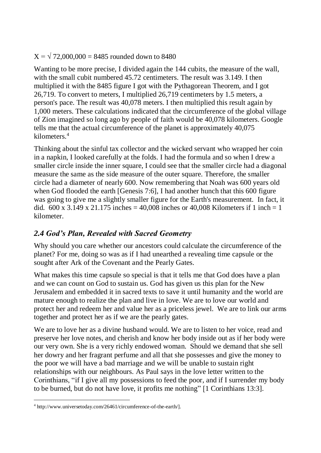$X = \sqrt{72,000,000} = 8485$  rounded down to 8480

Wanting to be more precise, I divided again the 144 cubits, the measure of the wall, with the small cubit numbered 45.72 centimeters. The result was 3.149. I then multiplied it with the 8485 figure I got with the Pythagorean Theorem, and I got 26,719. To convert to meters, I multiplied 26,719 centimeters by 1.5 meters, a person's pace. The result was 40,078 meters. I then multiplied this result again by 1,000 meters. These calculations indicated that the circumference of the global village of Zion imagined so long ago by people of faith would be 40,078 kilometers. Google tells me that the actual circumference of the planet is approximately 40,075 kilometers. 4

Thinking about the sinful tax collector and the wicked servant who wrapped her coin in a napkin, I looked carefully at the folds. I had the formula and so when I drew a smaller circle inside the inner square, I could see that the smaller circle had a diagonal measure the same as the side measure of the outer square. Therefore, the smaller circle had a diameter of nearly 600. Now remembering that Noah was 600 years old when God flooded the earth [Genesis 7:6], I had another hunch that this 600 figure was going to give me a slightly smaller figure for the Earth's measurement. In fact, it did.  $600 \times 3.149 \times 21.175$  inches = 40,008 inches or 40,008 Kilometers if 1 inch = 1 kilometer.

### *2.4 God's Plan, Revealed with Sacred Geometry*

Why should you care whether our ancestors could calculate the circumference of the planet? For me, doing so was as if I had unearthed a revealing time capsule or the sought after Ark of the Covenant and the Pearly Gates.

What makes this time capsule so special is that it tells me that God does have a plan and we can count on God to sustain us. God has given us this plan for the New Jerusalem and embedded it in sacred texts to save it until humanity and the world are mature enough to realize the plan and live in love. We are to love our world and protect her and redeem her and value her as a priceless jewel. We are to link our arms together and protect her as if we are the pearly gates.

We are to love her as a divine husband would. We are to listen to her voice, read and preserve her love notes, and cherish and know her body inside out as if her body were our very own. She is a very richly endowed woman. Should we demand that she sell her dowry and her fragrant perfume and all that she possesses and give the money to the poor we will have a bad marriage and we will be unable to sustain right relationships with our neighbours. As Paul says in the love letter written to the Corinthians, "if I give all my possessions to feed the poor, and if I surrender my body to be burned, but do not have love, it profits me nothing" [1 Corinthians 13:3].

 $\overline{a}$ <sup>4</sup> http://www.universetoday.com/26461/circumference-of-the-earth/].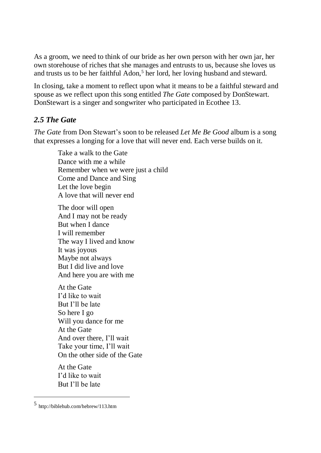As a groom, we need to think of our bride as her own person with her own jar, her own storehouse of riches that she manages and entrusts to us, because she loves us and trusts us to be her faithful Adon,<sup>5</sup> her lord, her loving husband and steward.

In closing, take a moment to reflect upon what it means to be a faithful steward and spouse as we reflect upon this song entitled *The Gate* composed by DonStewart. DonStewart is a singer and songwriter who participated in Ecothee 13.

#### *2.5 The Gate*

*The Gate* from Don Stewart's soon to be released *Let Me Be Good* album is a song that expresses a longing for a love that will never end. Each verse builds on it.

Take a walk to the Gate Dance with me a while Remember when we were just a child Come and Dance and Sing Let the love begin A love that will never end

The door will open And I may not be ready But when I dance I will remember The way I lived and know It was joyous Maybe not always But I did live and love And here you are with me

At the Gate I'd like to wait But I'll be late So here I go Will you dance for me At the Gate And over there, I'll wait Take your time, I'll wait On the other side of the Gate

At the Gate I'd like to wait But I'll be late

 $\overline{a}$ 

<sup>5</sup> http://biblehub.com/hebrew/113.htm